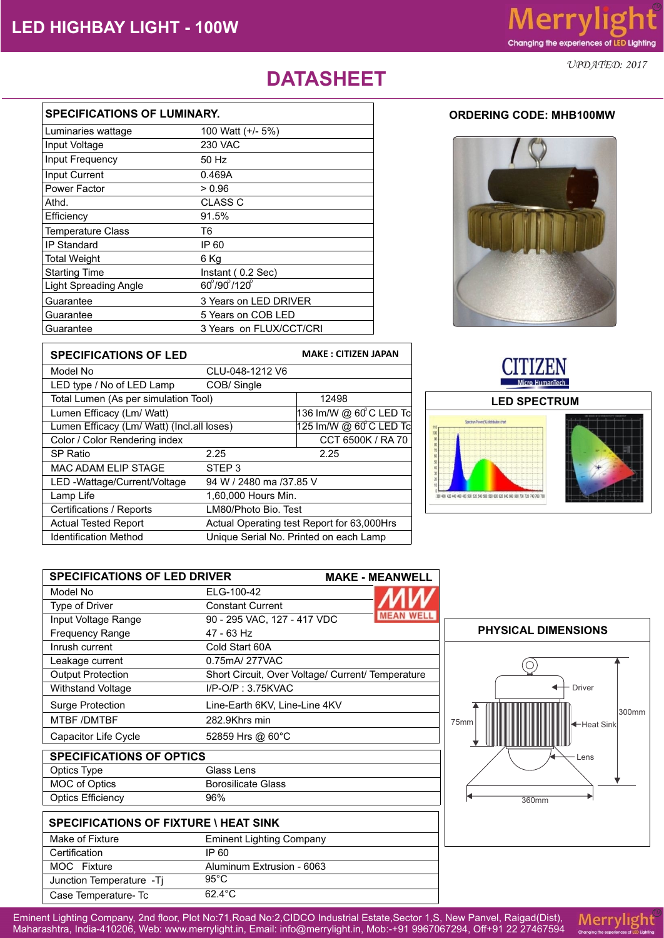*UPDATED: 2017*

## **DATASHEET**

| <b>SPECIFICATIONS OF LUMINARY.</b> |                                     |  |
|------------------------------------|-------------------------------------|--|
| Luminaries wattage                 | 100 Watt (+/- 5%)                   |  |
| Input Voltage                      | 230 VAC                             |  |
| Input Frequency                    | 50 Hz                               |  |
| Input Current                      | 0.469A                              |  |
| Power Factor                       | > 0.96                              |  |
| Athd.                              | CLASS C                             |  |
| Efficiency                         | 91.5%                               |  |
| <b>Temperature Class</b>           | Т6                                  |  |
| IP Standard                        | IP 60                               |  |
| <b>Total Weight</b>                | 6 Ka                                |  |
| <b>Starting Time</b>               | Instant (0.2 Sec)                   |  |
| <b>Light Spreading Angle</b>       | $60^{\circ}/90^{\circ}/120^{\circ}$ |  |
| Guarantee                          | 3 Years on LED DRIVER               |  |
| Guarantee                          | 5 Years on COB LED                  |  |
| Guarantee                          | 3 Years on FLUX/CCT/CRI             |  |



| <b>SPECIFICATIONS OF LED</b>               |                                            | <b>MAKE: CITIZEN JAPAN</b> |
|--------------------------------------------|--------------------------------------------|----------------------------|
| Model No                                   | CLU-048-1212 V6                            |                            |
| LED type / No of LED Lamp                  | COB/Single                                 |                            |
| Total Lumen (As per simulation Tool)       |                                            | 12498                      |
| Lumen Efficacy (Lm/ Watt)                  |                                            | 136 lm/W @ 60°C LED Tc     |
| Lumen Efficacy (Lm/ Watt) (Incl.all loses) |                                            | 125 lm/W @ 60°C LED To     |
| Color / Color Rendering index              |                                            | CCT 6500K / RA 70          |
| <b>SP Ratio</b>                            | 2.25                                       | 2.25                       |
| <b>MAC ADAM ELIP STAGE</b>                 | STEP <sub>3</sub>                          |                            |
| LED -Wattage/Current/Voltage               | 94 W / 2480 ma /37.85 V                    |                            |
| Lamp Life                                  | 1,60,000 Hours Min.                        |                            |
| Certifications / Reports                   | LM80/Photo Bio. Test                       |                            |
| <b>Actual Tested Report</b>                | Actual Operating test Report for 63,000Hrs |                            |
| <b>Identification Method</b>               | Unique Serial No. Printed on each Lamp     |                            |





| <b>SPECIFICATIONS OF LED DRIVER</b> |                                                   | <b>MAKE - MEANWELL</b> |
|-------------------------------------|---------------------------------------------------|------------------------|
| Model No                            | ELG-100-42                                        |                        |
| <b>Type of Driver</b>               | <b>Constant Current</b>                           |                        |
| Input Voltage Range                 | 90 - 295 VAC, 127 - 417 VDC                       | <b>MEAN WEL</b>        |
| <b>Frequency Range</b>              | $47 - 63$ Hz                                      |                        |
| Inrush current                      | Cold Start 60A                                    |                        |
| Leakage current                     | 0.75mA/277VAC                                     |                        |
| <b>Output Protection</b>            | Short Circuit, Over Voltage/ Current/ Temperature |                        |
| <b>Withstand Voltage</b>            | $I/P$ -O/P : 3.75KVAC                             |                        |
| <b>Surge Protection</b>             | Line-Earth 6KV, Line-Line 4KV                     |                        |
| MTBF /DMTBF                         | 282.9Khrs min                                     |                        |
| <b>Capacitor Life Cycle</b>         | 52859 Hrs @ $60^{\circ}$ C                        |                        |
| <b>CDECIEICATIONS OF ODTICS</b>     |                                                   |                        |

| <b>SPECIFICATIONS OF OPTICS</b> |  |  |
|---------------------------------|--|--|
| Glass Lens                      |  |  |
| <b>Borosilicate Glass</b>       |  |  |
| 96%                             |  |  |
|                                 |  |  |

| <b>SPECIFICATIONS OF FIXTURE \ HEAT SINK</b> |                                 |  |
|----------------------------------------------|---------------------------------|--|
| Make of Fixture                              | <b>Eminent Lighting Company</b> |  |
| Certification                                | IP 60                           |  |
| MOC Fixture                                  | Aluminum Extrusion - 6063       |  |
| Junction Temperature - Tj                    | $95^{\circ}$ C                  |  |
| Case Temperature- Tc                         | $62.4^{\circ}$ C                |  |



Eminent Lighting Company, 2nd floor, Plot No:71,Road No:2,CIDCO Industrial Estate,Sector 1,S, New Panvel, Raigad(Dist), Maharashtra, India-410206, Web: www.merrylight.in, Email: info@merrylight.in, Mob:-+91 9967067294, Off+91 22 27467594